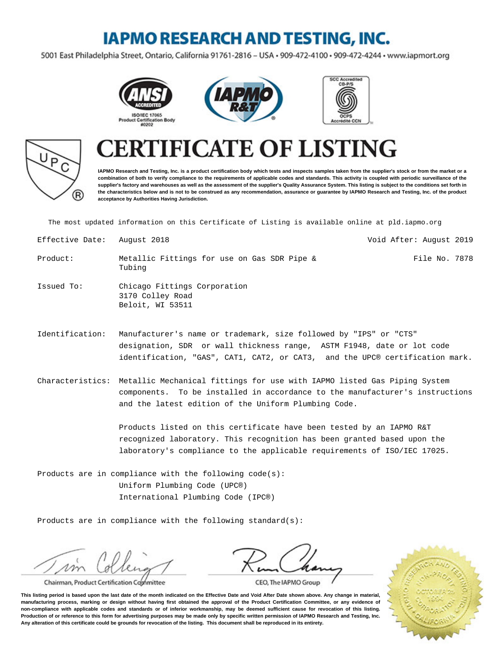### **IAPMO RESEARCH AND TESTING, INC.**

5001 East Philadelphia Street, Ontario, California 91761-2816 - USA · 909-472-4100 · 909-472-4244 · www.iapmort.org









#### **CATE OF LISTING** F1

**IAPMO Research and Testing, Inc. is a product certification body which tests and inspects samples taken from the supplier's stock or from the market or a combination of both to verify compliance to the requirements of applicable codes and standards. This activity is coupled with periodic surveillance of the supplier's factory and warehouses as well as the assessment of the supplier's Quality Assurance System. This listing is subject to the conditions set forth in the characteristics below and is not to be construed as any recommendation, assurance or guarantee by IAPMO Research and Testing, Inc. of the product acceptance by Authorities Having Jurisdiction.**

The most updated information on this Certificate of Listing is available online at pld.iapmo.org

| Effective Date: | Auqust 2018                                                          | Void After: August 2019 |
|-----------------|----------------------------------------------------------------------|-------------------------|
| Product:        | Metallic Fittings for use on Gas SDR Pipe &<br>Tubing                | File No. 7878           |
| Issued To:      | Chicago Fittings Corporation<br>3170 Colley Road<br>Beloit, WI 53511 |                         |

- Identification: Manufacturer's name or trademark, size followed by "IPS" or "CTS" designation, SDR or wall thickness range, ASTM F1948, date or lot code identification, "GAS", CAT1, CAT2, or CAT3, and the UPC® certification mark.
- Characteristics: Metallic Mechanical fittings for use with IAPMO listed Gas Piping System components. To be installed in accordance to the manufacturer's instructions and the latest edition of the Uniform Plumbing Code.

Products listed on this certificate have been tested by an IAPMO R&T recognized laboratory. This recognition has been granted based upon the laboratory's compliance to the applicable requirements of ISO/IEC 17025.

Products are in compliance with the following code(s): Uniform Plumbing Code (UPC®) International Plumbing Code (IPC®)

Products are in compliance with the following standard(s):

Chairman, Product Certification Committee



**This listing period is based upon the last date of the month indicated on the Effective Date and Void After Date shown above. Any change in material, manufacturing process, marking or design without having first obtained the approval of the Product Certification Committee, or any evidence of non-compliance with applicable codes and standards or of inferior workmanship, may be deemed sufficient cause for revocation of this listing. Production of or reference to this form for advertising purposes may be made only by specific written permission of IAPMO Research and Testing, Inc. Any alteration of this certificate could be grounds for revocation of the listing. This document shall be reproduced in its entirety.**

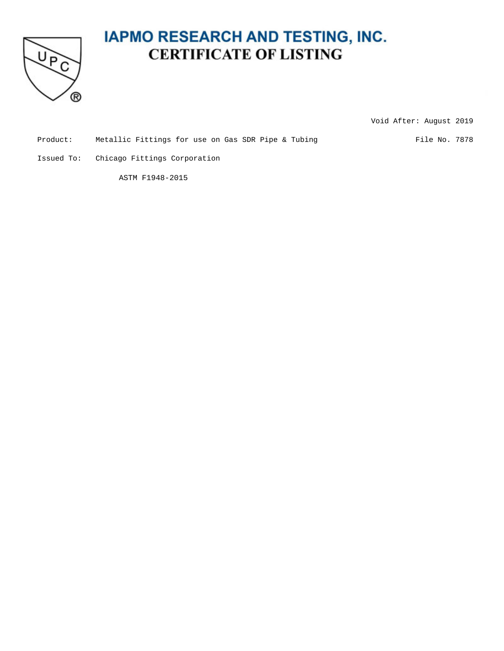

Void After: August 2019

Product: Metallic Fittings for use on Gas SDR Pipe & Tubing File No. 7878

Issued To: Chicago Fittings Corporation

ASTM F1948-2015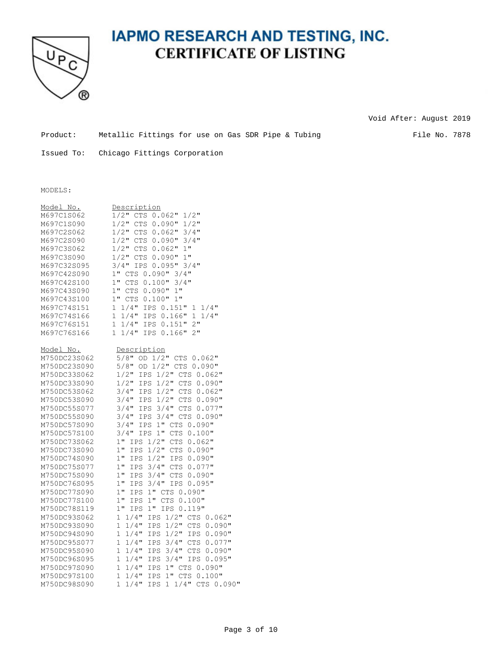

Void After: August 2019

Product: Metallic Fittings for use on Gas SDR Pipe & Tubing File No. 7878

Issued To: Chicago Fittings Corporation

#### MODELS:

| Model No.<br>M697C1S062<br>M697C1S090<br>M697C2S062<br>M697C2S090<br>M697C3S062<br>M697C3S090<br>M697C32S095 | Description<br>$1/2$ "<br>$1/2$ "<br>CTS 0.062"<br>$1/2$ "<br>$1/2$ "<br>CTS 0.090"<br>$1/2$ "<br>CTS 0.062"<br>$3/4$ "<br>$1/2$ "<br>CTS 0.090"<br>$3/4$ "<br>$1/2$ "<br>1"<br>CTS<br>$0.062$ "<br>$1/2$ "<br>CTS 0.090"<br>1"<br>3/4" IPS 0.095"<br>$3/4$ " |
|--------------------------------------------------------------------------------------------------------------|---------------------------------------------------------------------------------------------------------------------------------------------------------------------------------------------------------------------------------------------------------------|
| M697C42S090<br>M697C42S100<br>M697C43S090<br>M697C43S100                                                     | 1" CTS 0.090" 3/4"<br>$1"$ CTS<br>$0.100$ "<br>$3/4$ "<br>$1"$ $CTS$<br>0.090" 1"<br>1" CTS<br>0.100"<br>1"                                                                                                                                                   |
| M697C74S151<br>M697C74S166<br>M697C76S151<br>M697C76S166                                                     | $1 \t1/4"$<br>IPS 0.151"<br>$1 \t1/4"$<br>$1/4$ "<br>1<br>IPS 0.166"<br>$1/4$ "<br>$\mathbf{1}$<br>$1/4$ "<br>2"<br>IPS 0.151"<br>1<br>$1/4$ "<br>IPS 0.166"<br>2"<br>1                                                                                       |
| Model No.<br>M750DC23S062                                                                                    | Description<br>$5/8$ "<br>OD 1/2" CTS 0.062"                                                                                                                                                                                                                  |
| M750DC23S090                                                                                                 | $5/8$ "<br>OD 1/2" CTS 0.090"                                                                                                                                                                                                                                 |
| M750DC33S062<br>M750DC33S090                                                                                 | $1/2$ "<br>1/2" CTS 0.062"<br>IPS<br>$1/2$ "<br>$1/2$ "<br>CTS 0.090"                                                                                                                                                                                         |
| M750DC53S062                                                                                                 | IPS<br>$1/2$ "<br>$3/4$ "<br>CTS 0.062"<br>IPS                                                                                                                                                                                                                |
| M750DC53S090                                                                                                 | 1/2" CTS 0.090"<br>$3/4$ "<br>IPS                                                                                                                                                                                                                             |
| M750DC55S077                                                                                                 | $3/4$ "<br>$3/4$ "<br>CTS 0.077"<br>IPS                                                                                                                                                                                                                       |
| M750DC55S090                                                                                                 | $3/4$ "<br>3/4" CTS 0.090"<br>IPS                                                                                                                                                                                                                             |
| M750DC57S090                                                                                                 | $3/4$ "<br>1" CTS 0.090"<br>IPS                                                                                                                                                                                                                               |
| M750DC57S100<br>M750DC73S062                                                                                 | $1"$ $CTS$<br>$3/4$ "<br>0.100"<br>IPS<br>$1$ "<br>1/2" CTS 0.062"<br>IPS                                                                                                                                                                                     |
| M750DC73S090                                                                                                 | 1"<br>$1/2$ " CTS<br>IPS<br>0.090"                                                                                                                                                                                                                            |
| M750DC74S090                                                                                                 | $1$ "<br>$1/2$ " IPS<br>IPS<br>0.090"                                                                                                                                                                                                                         |
| M750DC75S077                                                                                                 | $1$ "<br>$3/4"$ CTS<br>0.077"<br>IPS                                                                                                                                                                                                                          |
| M750DC75S090                                                                                                 | 1"<br>IPS<br>$3/4$ " CTS<br>0.090"                                                                                                                                                                                                                            |
| M750DC76S095                                                                                                 | $1$ "<br>0.095"<br>IPS<br>$3/4"$ IPS                                                                                                                                                                                                                          |
| M750DC77S090                                                                                                 | 1"<br>IPS<br>1" CTS 0.090"                                                                                                                                                                                                                                    |
| M750DC77S100                                                                                                 | $1$ "<br>$1$ "<br>0.100"<br>IPS<br><b>CTS</b>                                                                                                                                                                                                                 |
| M750DC78S119                                                                                                 | $1$ "<br>$1$ "<br>IPS 0.119"<br>IPS                                                                                                                                                                                                                           |
| M750DC93S062<br>M750DC93S090                                                                                 | $1/4$ "<br>$1/2$ "<br>1<br>IPS<br>CTS 0.062"<br>1<br>$1/4$ "<br>$1/2$ " CTS<br>IPS<br>$0.090$ "                                                                                                                                                               |
| M750DC94S090                                                                                                 | $1/2$ "<br>1<br>$1/4$ "<br>0.090"<br>IPS<br>IPS                                                                                                                                                                                                               |
| M750DC95S077                                                                                                 | $3/4$ "<br>1<br>$1/4$ "<br>IPS<br>CTS<br>0.077"                                                                                                                                                                                                               |
| M750DC95S090                                                                                                 | $3/4$ "<br>1<br>$1/4$ "<br>IPS<br>CTS<br>0.090"                                                                                                                                                                                                               |
| M750DC96S095                                                                                                 | 1<br>$1/4$ "<br>IPS<br>$3/4$ "<br>IPS 0.095"                                                                                                                                                                                                                  |
| M750DC97S090                                                                                                 | 1<br>$1/4$ "<br>1" CTS 0.090"<br>IPS                                                                                                                                                                                                                          |
| M750DC97S100                                                                                                 | 1<br>$1/4$ "<br>1" CTS 0.100"<br><b>IPS</b>                                                                                                                                                                                                                   |
| M750DC98S090                                                                                                 | 1<br>1 1/4" CTS 0.090"<br>$1/4$ "<br>IPS                                                                                                                                                                                                                      |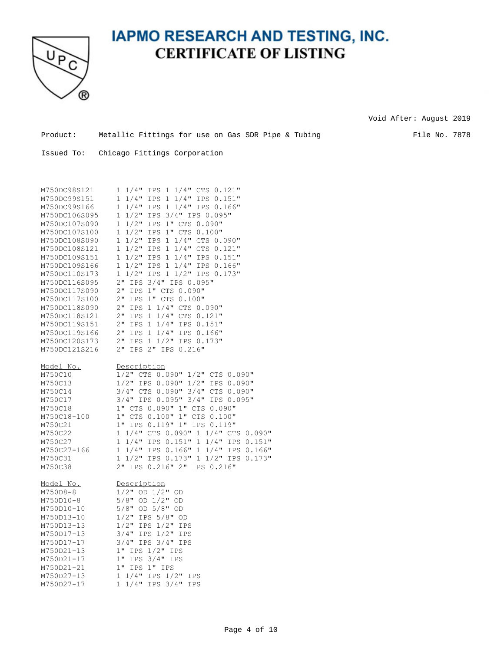

Void After: August 2019

Product: Metallic Fittings for use on Gas SDR Pipe & Tubing File No. 7878

| M750DC98S121<br>M750DC99S151<br>M750DC99S166<br>M750DC106S095<br>M750DC107S090<br>M750DC107S100<br>M750DC108S090<br>M750DC108S121<br>M750DC109S151<br>M750DC109S166<br>M750DC110S173<br>M750DC116S095<br>M750DC117S090<br>M750DC117S100<br>M750DC118S090<br>M750DC118S121<br>M750DC119S151<br>M750DC119S166<br>M750DC120S173 | $1 \t1/4"$<br>IPS 1 1/4" CTS 0.121"<br>$1 \t1/4"$<br>1/4" IPS 0.151"<br>IPS<br>$\mathbf{1}$<br>1/4" IPS 0.166"<br>$1 \t1/4"$<br>IPS 1<br>$1 \frac{1}{2}$<br>IPS 3/4" IPS 0.095"<br>$1/2$ "<br>IPS 1" CTS 0.090"<br>1<br>1" CTS 0.100"<br>1<br>$1/2$ "<br>IPS.<br>1 1/4" CTS 0.090"<br>1<br>$1/2$ "<br>IPS<br>1<br>$1/2$ "<br>IPS<br>1<br>$1/4"$ CTS 0.121"<br>1<br>$1/2$ "<br>IPS<br>1/4" IPS 0.151"<br>1<br>$\mathbf{1}$<br>$1/2$ "<br>1/4" IPS 0.166"<br>IPS<br>$\mathbf 1$<br>$\mathbf{1}$<br>$1/2$ "<br>IPS 1 1/2" IPS 0.173"<br>$2$ "<br>3/4" IPS 0.095"<br>IPS<br>$2$ "<br>1" CTS 0.090"<br>IPS<br>1" CTS 0.100"<br>$2$ "<br>IPS<br>$2$ "<br>IPS<br>1<br>1/4" CTS 0.090"<br>$2$ "<br>1/4" CTS 0.121"<br>IPS<br>1<br>$2$ "<br>1/4" IPS 0.151"<br>IPS<br>$\mathbf{1}$<br>1/4" IPS 0.166"<br>$2$ "<br>IPS<br>$\mathbf{1}$<br>$2$ "<br>IPS 1<br>1/2" IPS 0.173" |
|------------------------------------------------------------------------------------------------------------------------------------------------------------------------------------------------------------------------------------------------------------------------------------------------------------------------------|-------------------------------------------------------------------------------------------------------------------------------------------------------------------------------------------------------------------------------------------------------------------------------------------------------------------------------------------------------------------------------------------------------------------------------------------------------------------------------------------------------------------------------------------------------------------------------------------------------------------------------------------------------------------------------------------------------------------------------------------------------------------------------------------------------------------------------------------------------------------|
| M750DC121S216                                                                                                                                                                                                                                                                                                                | IPS 2" IPS 0.216"<br>2"                                                                                                                                                                                                                                                                                                                                                                                                                                                                                                                                                                                                                                                                                                                                                                                                                                           |
| Model No.<br>M750C10<br>M750C13<br>M750C14<br>M750C17<br>M750C18<br>M750C18-100<br>M750C21<br>M750C22<br>M750C27<br>M750C27-166<br>M750C31<br>M750C38                                                                                                                                                                        | Description<br>$1/2$ " CTS 0.090"<br>$1/2"$ CTS 0.090"<br>$1/2$ "<br>1/2" IPS 0.090"<br>IPS 0.090"<br>3/4" CTS 0.090" 3/4" CTS 0.090"<br>3/4" IPS 0.095" 3/4" IPS 0.095"<br>1" CTS 0.090" 1" CTS 0.090"<br>1" CTS 0.100" 1" CTS 0.100"<br>1" IPS 0.119" 1"<br>IPS 0.119"<br>1 1/4" CTS 0.090" 1 1/4" CTS 0.090"<br>1 1/4" IPS 0.151" 1 1/4" IPS 0.151"<br>1 1/4" IPS 0.166" 1<br>1/4" IPS 0.166"<br>1/2" IPS 0.173"<br>1<br>$1/2$ " IPS $0.173$ " 1<br>2" IPS 0.216" 2" IPS 0.216"                                                                                                                                                                                                                                                                                                                                                                                |
| Model No.<br>M750D8-8<br>M750D10-8<br>M750D10-10<br>M750D13-10<br>M750D13-13<br>M750D17-13<br>M750D17-17<br>M750D21-13<br>M750D21-17<br>M750D21-21<br>M750D27-13<br>M750D27-17                                                                                                                                               | Description<br>$1/2$ " OD $1/2$ " OD<br>$5/8$ "<br>OD $1/2$ " OD<br>$5/8$ "<br>OD $5/8"$ OD<br>$1/2$ "<br>IPS 5/8" OD<br>$1/2$ "<br>IPS 1/2" IPS<br>$3/4$ "<br>IPS $1/2$ " IPS<br>$3/4"$ IPS $3/4"$<br>IPS<br>1" IPS 1/2" IPS<br>1" IPS 3/4" IPS<br>1" IPS 1" IPS<br>$1 \frac{1}{4}$ " IPS $\frac{1}{2}$ "<br>IPS<br>$1/4"$ IPS $3/4"$<br>$\mathbf{1}$<br><b>IPS</b>                                                                                                                                                                                                                                                                                                                                                                                                                                                                                              |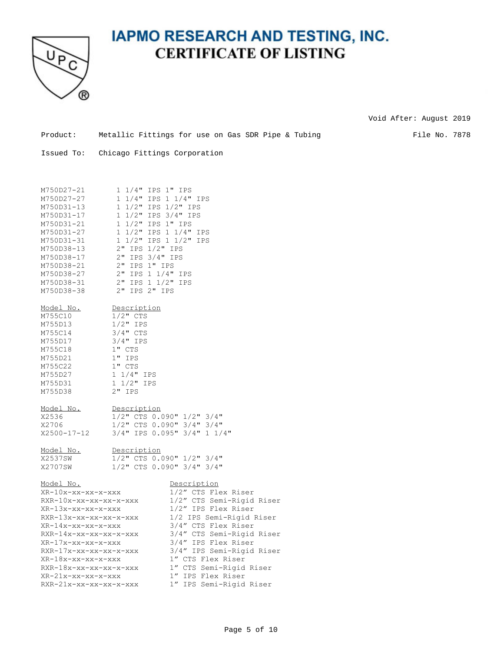

Void After: August 2019

Product: Metallic Fittings for use on Gas SDR Pipe & Tubing File No. 7878

Issued To: Chicago Fittings Corporation

| M750D27-21             | 1 1/4" IPS 1" IPS                  |
|------------------------|------------------------------------|
| M750D27-27             | 1 1/4" IPS 1 1/4" IPS              |
| M750D31-13             | 1 1/2" IPS 1/2" IPS                |
| M750D31-17             | 1 1/2" IPS 3/4" IPS                |
| M750D31-21             | 1 1/2" IPS 1" IPS                  |
| M750D31-27             | 1 1/2" IPS 1 1/4" IPS              |
| M750D31-31             | 1 1/2" IPS 1 1/2" IPS              |
| M750D38-13             | 2" IPS 1/2" IPS                    |
| M750D38-17             | 2" IPS 3/4" IPS                    |
| M750D38-21             | 2" IPS 1" IPS                      |
| M750D38-27             | 2" IPS 1 1/4" IPS                  |
| M750D38-31             | 2" IPS 1 1/2" IPS                  |
| M750D38-38             | 2" IPS 2" IPS                      |
| Model No.              | Description                        |
| M755C10                | $1/2$ " CTS                        |
| M755D13                | $1/2$ " IPS                        |
| M755C14                | $3/4"$ CTS                         |
| M755D17                | $3/4"$ IPS                         |
| M755C18                | 1" CTS                             |
| M755D21                | $1"$ IPS                           |
| M755C22                | 1" CTS                             |
| M755D27                | $1\;1/4"$ IPS                      |
| M755D31                | $1\ 1/2$ " IPS                     |
| M755D38                | $2"$ IPS                           |
| Model No.              | Description                        |
| X2536                  | 1/2" CTS 0.090" 1/2" 3/4"          |
| X2706                  | $1/2$ " CTS 0.090" $3/4$ " $3/4$ " |
| X2500-17-12            | 3/4" IPS 0.095" 3/4" 1 1/4"        |
| Model No.              | Description                        |
| X2537SW                | 1/2" CTS 0.090" 1/2" 3/4"          |
| X2707SW                | 1/2" CTS 0.090" 3/4" 3/4"          |
| Model No.              | Description                        |
| XR-10x-xx-xx-x-xxx     | 1/2" CTS Flex Riser                |
| RXR-10x-xx-xx-xx-x-xxx | 1/2" CTS Semi-Rigid Riser          |
| XR-13x-xx-xx-x-xxx     | 1/2" IPS Flex Riser                |
| RXR-13x-xx-xx-xx-x-xxx | 1/2 IPS Semi-Rigid Riser           |
| XR-14x-xx-xx-x-xxx     | 3/4" CTS Flex Riser                |
| RXR-14x-xx-xx-xx-x-xxx | 3/4" CTS Semi-Rigid Riser          |
| XR-17x-xx-xx-x-xxx     | 3/4" IPS Flex Riser                |
| RXR-17x-xx-xx-xx-x-xxx | 3/4" IPS Semi-Rigid Riser          |
| XR-18x-xx-xx-x-xxx     | 1" CTS Flex Riser                  |
| RXR-18x-xx-xx-xx-x-xxx | 1" CTS Semi-Rigid Riser            |
| XR-21x-xx-xx-x-xxx     | 1" IPS Flex Riser                  |
| RXR-21x-xx-xx-xx-x-xxx | 1" IPS Semi-Rigid Riser            |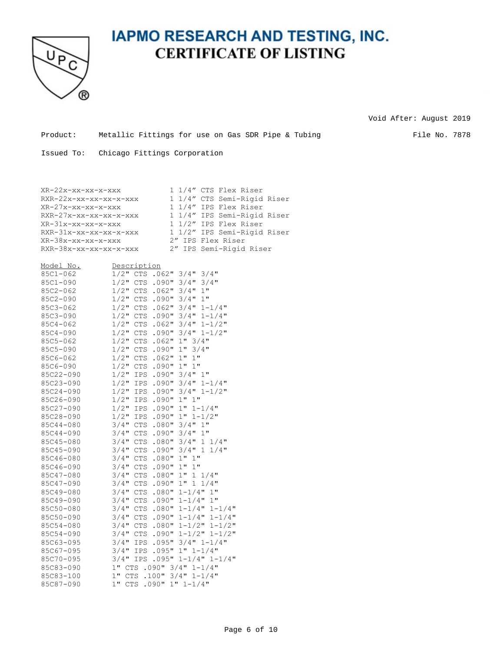

Void After: August 2019

Product: Metallic Fittings for use on Gas SDR Pipe & Tubing File No. 7878

| XR-22x-xx-xx-x-xxx     | 1 1/4" CTS Flex Riser       |
|------------------------|-----------------------------|
| RXR-22x-xx-xx-xx-x-xxx | 1 1/4" CTS Semi-Rigid Riser |
| XR-27x-xx-xx-x-xxx     | 1 1/4" IPS Flex Riser       |
| RXR-27x-xx-xx-xx-x-xxx | 1 1/4" IPS Semi-Rigid Riser |
| XR-31x-xx-xx-x-xxx     | 1 1/2" IPS Flex Riser       |
| RXR-31x-xx-xx-xx-x-xxx | 1 1/2" IPS Semi-Rigid Riser |
| XR-38x-xx-xx-x-xxx     | 2" IPS Flex Riser           |
| RXR-38x-xx-xx-xx-x-xxx | 2" IPS Semi-Rigid Riser     |

| Model No.    | Description         |            |          |                     |                         |
|--------------|---------------------|------------|----------|---------------------|-------------------------|
| $85C1 - 062$ | $1/2$ "             | CTS        | .062"    | $3/4$ "             | $3/4$ "                 |
| 85C1-090     | $1/2$ "             | <b>CTS</b> | .090"    | $3/4$ "             | $3/4$ "                 |
| 85C2-062     | $1/2$ "             | <b>CTS</b> | .062"    | $3/4$ "             | $1$ "                   |
| 85C2-090     | $1/2$ "             | CTS        | .090"    | $3/4$ "             | 1"                      |
| 85C3-062     | $1/2$ "             | <b>CTS</b> | $.062$ " | $3/4$ "             | $1 - 1/4$ "             |
| 85C3-090     | $1/2$ "             | <b>CTS</b> | .090"    | $3/4$ "             | $1 - 1/4$ "             |
| $85C4 - 062$ | $1/2$ "             | <b>CTS</b> | $.062$ " | $3/4$ "             | $1 - 1/2$ "             |
| 85C4-090     | $1/2$ "             | <b>CTS</b> | .090"    | $3/4$ "             | $1 - 1/2$ "             |
| 85C5-062     | $1/2$ "             | <b>CTS</b> | .062"    | 1"3/4"              |                         |
| 85C5-090     | $1/2$ "             | <b>CTS</b> | .090"    | $1$ "               | $3/4$ "                 |
| 85C6-062     | $1/2$ "             | <b>CTS</b> | .062"    | 1"<br>$1$ "         |                         |
| 85C6-090     | $1/2$ "             | <b>CTS</b> | .090"    | 1" 1"               |                         |
| 85C22-090    | $1/2$ "             | IPS        | .090"    | 3/4" 1"             |                         |
| 85C23-090    | $1/2$ "             | IPS        | .090"    |                     | $3/4" 1-1/4"$           |
| 85C24-090    | $1/2$ "             | IPS        | .090"    |                     | $3/4" 1-1/2"$           |
| 85C26-090    | $1/2$ "             | IPS        | .090"    | 1" 1"               |                         |
| 85C27-090    | $1/2$ "             | IPS        | .090"    | $1" 1-1/4"$         |                         |
| 85C28-090    | $1/2$ "             | IPS        | .090"    | $1" 1-1/2"$         |                         |
| 85C44-080    | $3/4$ "             | <b>CTS</b> | .080"    | $3/4$ "             | 1"                      |
| 85C44-090    | $3/4$ "             | <b>CTS</b> | .090"    | $3/4$ "             | 1"                      |
| 85C45-080    | $3/4$ "             | <b>CTS</b> | .080"    | $3/4$ "             | $1 \t1/4"$              |
| 85C45-090    | $3/4$ "             | CTS        | .090"    | $3/4$ " 1           | $1/4$ "                 |
| 85C46-080    | $3/4$ "             | <b>CTS</b> | .080"    | $1$ "<br>1"         |                         |
| 85C46-090    | $3/4$ "             | <b>CTS</b> | .090"    | $1$ "<br>1"         |                         |
| 85C47-080    | $3/4$ "             | <b>CTS</b> | .080"    | $1$ "               | $1 \t1/4"$              |
| 85C47-090    | $3/4$ "             | <b>CTS</b> | .090"    | 1" 1                | $1/4$ "                 |
| 85C49-080    | $3/4$ "             | <b>CTS</b> | .080"    | $1 - 1/4$ " 1"      |                         |
| 85C49-090    | $3/4$ "             | <b>CTS</b> | .090"    | $1 - 1/4$ " 1"      |                         |
| 85C50-080    | $3/4$ "             | <b>CTS</b> | .080"    |                     | $1 - 1/4$ " $1 - 1/4$ " |
| 85C50-090    | $3/4$ "             | <b>CTS</b> | .090"    |                     | $1 - 1/4$ " $1 - 1/4$ " |
| 85C54-080    | $3/4$ "             | <b>CTS</b> | .080"    |                     | $1 - 1/2$ " $1 - 1/2$ " |
| 85C54-090    | $3/4$ "             | CTS        | .090"    |                     | $1 - 1/2$ " $1 - 1/2$ " |
| 85C63-095    | $3/4$ "             | IPS        | .095"    |                     | $3/4" 1-1/4"$           |
| 85C67-095    | $3/4$ "             | IPS        | .095"    | $1" 1 - 1/4"$       |                         |
| 85C70-095    | $3/4$ "             | IPS        | .095"    |                     | $1 - 1/4$ " $1 - 1/4$ " |
| 85C83-090    | 1" CTS              |            |          | $.090" 3/4" 1-1/4"$ |                         |
| 85C83-100    | $1$ "<br><b>CTS</b> | .100"      |          | $3/4$ " $1-1/4$ "   |                         |
| 85C87-090    | 1"<br>CTS           | .090"      |          | $1" 1 - 1/4"$       |                         |
|              |                     |            |          |                     |                         |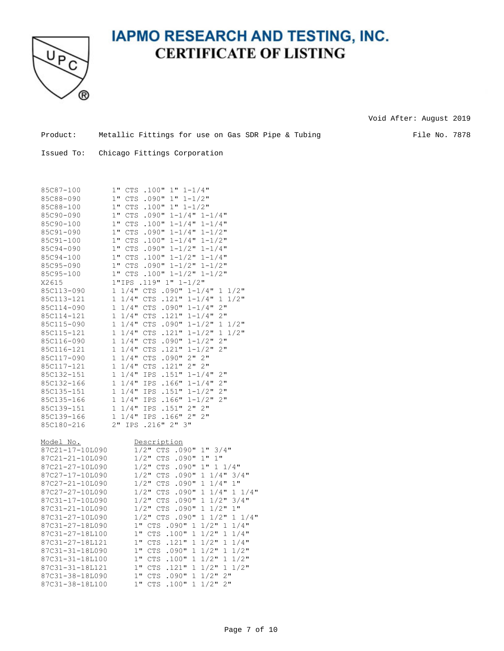

Void After: August 2019

Product: Metallic Fittings for use on Gas SDR Pipe & Tubing File No. 7878

| 85C87-100        | .100"<br>$1" 1-1/4"$<br>$1$ "<br>CTS                                    |
|------------------|-------------------------------------------------------------------------|
| 85C88-090        | 1"<br>$1" 1-1/2"$<br>CTS<br>.090"                                       |
| 85C88-100        | $1$ "<br><b>CTS</b><br>.100"<br>$1" 1-1/2"$                             |
| 85C90-090        | 1"<br><b>CTS</b><br>.090" 1-1/4" 1-1/4"                                 |
| 85C90-100        | 1"<br>CTS<br>.100"<br>$1 - 1/4$ "<br>$1 - 1/4$ "                        |
| 85C91-090        | 1"<br><b>CTS</b><br>$.090" 1-1/4"$<br>$1 - 1/2$ "                       |
| 85C91-100        | 1"<br><b>CTS</b><br>.100"<br>$1 - 1/4$ "<br>$1 - 1/2$ "                 |
| 85C94-090        | 1"<br>$.090" 1-1/2"$<br>CTS<br>$1 - 1/4$ "                              |
| 85C94-100        | $1$ "<br>CTS<br>$1 - 1/2$ "<br>$1 - 1/4$ "                              |
|                  | .100"                                                                   |
| 85C95-090        | $1$ "<br><b>CTS</b><br>$1 - 1/2$ "<br>.090"<br>$1 - 1/2$ "              |
| 85C95-100        | 1" CTS<br>$.100" 1-1/2" 1-1/2"$                                         |
| X2615            | 1"IPS .119" 1" 1-1/2"                                                   |
| 85C113-090       | $1/4$ " CTS<br>$.090" 1-1/4"$<br>$\mathbf{1}$<br>$1/2$ "<br>1           |
| 85C113-121       | .121"<br>$\mathbf{1}$<br>$1/4$ "<br>CTS<br>$1 - 1/4$ "<br>1<br>$1/2$ "  |
| 85C114-090       | 2"<br>$\mathbf{1}$<br>$1/4$ " CTS<br>$.090" 1-1/4"$                     |
| 85C114-121       | .121"<br>$2$ "<br>1<br>$1/4$ "<br>CTS<br>$1 - 1/4$ "                    |
| 85C115-090       | 1<br>$1/4$ "<br>CTS<br>.090"<br>$1 - 1/2$ "<br>$1 \frac{1}{2}$          |
| 85C115-121       | 1<br>$1/4$ "<br><b>CTS</b><br>.121"<br>$1 - 1/2$ "<br>1<br>$1/2$ "      |
| 85C116-090       | 1<br>$1 - 1/2$ "<br>$2$ "<br>$1/4$ "<br>CTS<br>.090"                    |
| 85C116-121       | 2"<br>1<br>$1/4$ "<br><b>CTS</b><br>.121"<br>$1 - 1/2$ "                |
| 85C117-090       | 2" 2"<br>$\mathbf{1}$<br>$1/4$ "<br><b>CTS</b><br>.090"                 |
| 85C117-121       | 2" 2"<br>1<br>$1/4$ "<br>CTS<br>.121"                                   |
| 85C132-151       | $\mathbf{1}$<br>$1/4$ "<br>$1 - 1/4$ "<br>$2$ "<br>IPS<br>.151"         |
| 85C132-166       | 1<br>$1/4$ "<br>$.166" 1-1/4"$<br>2"<br>IPS                             |
| 85C135-151       | $\mathbf{1}$<br>$1/4$ "<br>.151"<br>$1 - 1/2$ "<br>$2$ "<br>IPS         |
| 85C135-166       | $\mathbf{1}$<br>$1/4$ "<br>.166"<br>$1 - 1/2$ "<br>$2$ "<br>IPS         |
| 85C139-151       | $\mathbf{1}$<br>$1/4$ "<br>.151"<br>$2$ "<br>$2$ "<br>IPS               |
| 85C139-166       | IPS .166" 2"<br>2"<br>1<br>$1/4$ "                                      |
| 85C180-216       | $2$ "<br>.216" 2" 3"<br>IPS                                             |
|                  |                                                                         |
| <u>Model No.</u> | <b>Description</b>                                                      |
| 87C21-17-10L090  | $1/2$ "<br>CTS .090"<br>$1$ "<br>$3/4$ "                                |
| 87C21-21-10L090  | $1$ "<br>$1/2$ "<br>1"<br>CTS<br>.090"                                  |
| 87C21-27-10L090  | $1/2$ "<br><b>CTS</b><br>.090"<br>$1$ "<br>$1 \t1/4"$                   |
| 87C27-17-10L090  | $1/2$ "<br>CTS<br>.090"<br>$1 \t1/4$ "<br>$3/4$ "                       |
| 87C27-21-10L090  | $1/2$ "<br>$1/4$ "<br>$1$ "<br><b>CTS</b><br>.090"<br>1                 |
|                  |                                                                         |
| 87C27-27-10L090  | $1/2$ "<br><b>CTS</b><br>1<br>$1/4$ "<br>$1/4$ "<br>.090"<br>$1 -$      |
| 87C31-17-10L090  | $1/2$ "<br>$1/2$ "<br>$3/4$ "<br><b>CTS</b><br>.090"<br>1               |
| 87C31-21-10L090  | $1/2$ "<br><b>CTS</b><br>.090"<br>1<br>$1/2$ "<br>$1$ "                 |
| 87C31-27-10L090  | $1 \t1/4$ "<br>$1/2$ " CTS<br>.090"<br>$1/2$ "<br>1                     |
| 87C31-27-18L090  | 1" CTS<br>$1/2$ "<br>$1/4$ "<br>.090"<br>1<br>1                         |
| 87C31-27-18L100  | 1" CTS<br>$1/2$ "<br>.100"<br>$1/4$ "<br>1<br>1                         |
| 87C31-27-18L121  | 1" CTS<br>.121"<br>1<br>$1/2$ "<br>1<br>$1/4$ "                         |
| 87C31-31-18L090  | 1" CTS<br>.090"<br>$1/2$ "<br>$1/2$ "<br>1<br>1                         |
| 87C31-31-18L100  | $1"$ $CTS$<br>$1/2$ "<br>$1/2$ "<br>.100"<br>$\mathbf{1}$<br>1          |
| 87C31-31-18L121  | $1/2$ "<br>$1/2$ "<br>$1$ "<br><b>CTS</b><br>.121"<br>$\mathbf{1}$<br>1 |
| 87C31-38-18L090  | $1/2$ "<br>2"<br>1" CTS<br>.090"<br>1                                   |
| 87C31-38-18L100  | $1$ "<br>$1/2$ "<br>2"<br>CTS<br>.100"<br>1                             |
|                  |                                                                         |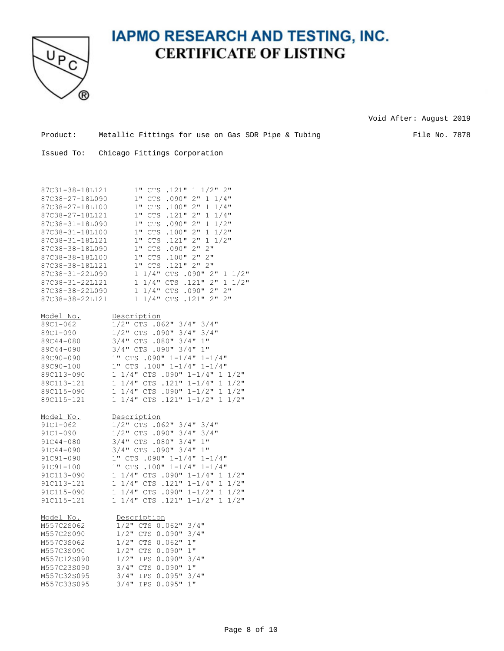

Void After: August 2019

| Product: | Metallic Fittings for use on Gas SDR Pipe & Tubing |  |  |  |  |  |
|----------|----------------------------------------------------|--|--|--|--|--|
|          |                                                    |  |  |  |  |  |

File No. 7878

| 87C31-38-18L121<br>87C38-27-18L090<br>87C38-27-18L100<br>87C38-27-18L121<br>87C38-31-18L090<br>87C38-31-18L100<br>87C38-31-18L121<br>87C38-38-18L090<br>87C38-38-18L100 | $1/2$ " 2"<br>$1$ "<br>CTS .121"<br>$\mathbf{1}$<br>1"<br>$2$ "<br>$1 \t1/4$ "<br>CTS<br>.090"<br>$1$ "<br>$2$ "<br>CTS<br>.100"<br>$\mathbf{1}$<br>$1/4$ "<br>2"<br>1"<br>.121"<br>CTS<br>1<br>1/4"<br>$1$ "<br>.090"<br>$2$ "<br>$\mathbf{1}$<br>$1/2$ "<br>CTS<br>1"<br>$2$ "<br>$1/2$ "<br>CTS<br>.100"<br>$\mathbf{1}$<br>$2$ "<br>1"<br>CTS<br>.121"<br>$\mathbf{1}$<br>$1/2$ "<br>1"<br>CTS<br>.090"<br>$2$ "<br>2"<br>1" CTS<br>$2$ "<br>2"<br>.100"                    |
|-------------------------------------------------------------------------------------------------------------------------------------------------------------------------|---------------------------------------------------------------------------------------------------------------------------------------------------------------------------------------------------------------------------------------------------------------------------------------------------------------------------------------------------------------------------------------------------------------------------------------------------------------------------------|
| 87C38-38-18L121<br>87C38-31-22L090<br>87C38-31-22L121<br>87C38-38-22L090<br>87C38-38-22L121                                                                             | .121" 2" 2"<br>$1"$ $CTS$<br>$1 \t1/4$ "<br>CTS .090" 2"<br>$1 \frac{1}{2}$<br>CTS .121" 2"<br>$1 \t1/4$ "<br>$1 \frac{1}{2}$<br>.090"2"<br>2"<br>1 1/4" CTS<br>2"<br>1 1/4" CTS<br>$.121"$ 2"                                                                                                                                                                                                                                                                                  |
| Model No.<br>89C1-062<br>89C1-090<br>89C44-080<br>89C44-090<br>89C90-090<br>89C90-100<br>89C113-090<br>89C113-121<br>89C115-090<br>89C115-121                           | Description<br>1/2" CTS .062" 3/4" 3/4"<br>$1/2"$ CTS .090"<br>$3/4$ "<br>$3/4$ "<br>3/4" CTS .080" 3/4"<br>1"<br>3/4" CTS .090" 3/4"<br>$1$ "<br>1" CTS .090" 1-1/4" 1-1/4"<br>$.100" 1-1/4" 1-1/4"$<br>$1"$ $CTS$<br>$1 \t1/4$ "<br>CTS .090" $1-1/4$ " 1 $1/2$ "<br>1 1/4" CTS .121" 1-1/4"<br>$1/2$ "<br>1<br>1 1/4" CTS .090" 1-1/2"<br>$1/2$ "<br>1<br>$1/4$ " CTS .121" $1-1/2$ " 1<br>$1/2$ "<br>1                                                                      |
| <u>Model No.</u><br>$91C1 - 062$<br>91C1-090<br>91C44-080<br>91C44-090<br>91C91-090<br>91C91-100<br>91C113-090<br>91C113-121<br>91C115-090<br>91C115-121                | Description<br>$CTS$ . 062" 3/4"<br>$3/4$ "<br>$1/2$ "<br>$1/2$ " CTS .090" $3/4$ "<br>$3/4$ "<br>3/4" CTS .080"<br>$3/4$ "<br>$1$ "<br>3/4" CTS .090" 3/4"<br>$1$ "<br>1" CTS .090" 1-1/4"<br>$1 - 1/4$ "<br>1" CTS .100" 1-1/4" 1-1/4"<br>1 1/4" CTS .090" 1-1/4" 1 1/2"<br>$1 \t1/4"$ CTS .121" $1-1/4"$<br>$1/2$ "<br>$\mathbf{1}$<br>$1/4"$ CTS .090" $1-1/2"$<br>$1/2$ "<br>1<br>$\mathbf{1}$<br>$1/4$ " CTS<br>$.121" 1-1/2"$<br>$1/2$ "<br>$\mathbf{1}$<br>$\mathbf{1}$ |
| Model No.<br>M557C2S062<br>M557C2S090<br>M557C3S062<br>M557C3S090<br>M557C12S090<br>M557C23S090<br>M557C32S095<br>M557C33S095                                           | Description<br>$3/4$ "<br>$1/2$ " CTS 0.062"<br>$1/2$ "<br>CTS 0.090"<br>$3/4$ "<br>1/2" CTS 0.062" 1"<br>$1$ "<br>$1/2$ "<br>CTS 0.090"<br>$1/2$ "<br>IPS 0.090"<br>$3/4$ "<br>$3/4$ "<br>$1$ "<br>CTS 0.090"<br>$3/4$ "<br>IPS 0.095"<br>$3/4$ "<br>$3/4$ "<br>IPS 0.095"<br>$1$ "                                                                                                                                                                                            |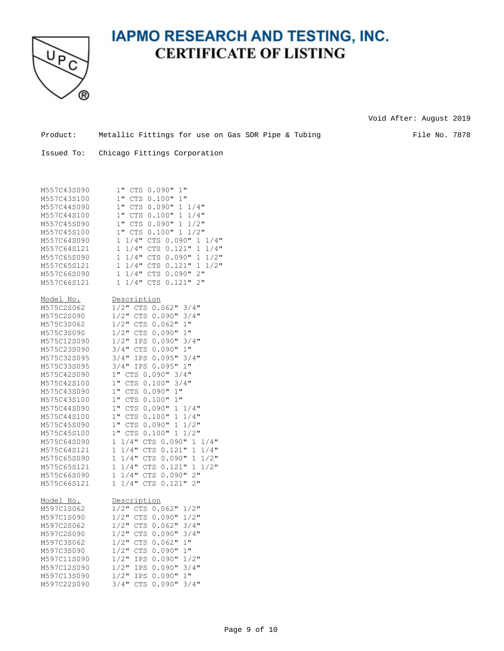

Void After: August 2019

Product: Metallic Fittings for use on Gas SDR Pipe & Tubing File No. 7878

| M557C43S090<br>M557C43S100<br>M557C44S090<br>M557C44S100<br>M557C45S090<br>M557C45S100<br>M557C64S090<br>M557C64S121<br>M557C65S090<br>M557C65S121                                                                                                                                                                                              | 1" CTS 0.090"<br>1"<br>$1$ "<br>$0.100$ "<br>$1$ "<br>CTS<br>1" CTS<br>$0.090$ "<br>$1 \t1/4"$<br>0.100"<br>1"<br>$1 \t1/4"$<br>CTS<br>0.090" 1 1/2"<br>$1"$ $CTS$<br>1" CTS<br>0.100"1<br>$1/2$ "<br>$1/4$ "<br>$1 \t1/4"$<br>$0.090$ "<br>CTS<br>$\mathbf{1}$<br>$1/4$ "<br>$\mathbf{1}$<br>$1/4$ "<br>CTS<br>0.121"<br>1<br>$1/4$ "<br>$0.090$ "<br>$1/2$ "<br>$\mathbf{1}$<br>CTS<br>1<br>$1/2$ "<br>$1 \t1/4$ "<br>0.121"<br>CTS<br>1                                                                                                                                                                                                                                                                                                                                                                                                                                                                                                         |
|-------------------------------------------------------------------------------------------------------------------------------------------------------------------------------------------------------------------------------------------------------------------------------------------------------------------------------------------------|----------------------------------------------------------------------------------------------------------------------------------------------------------------------------------------------------------------------------------------------------------------------------------------------------------------------------------------------------------------------------------------------------------------------------------------------------------------------------------------------------------------------------------------------------------------------------------------------------------------------------------------------------------------------------------------------------------------------------------------------------------------------------------------------------------------------------------------------------------------------------------------------------------------------------------------------------|
| M557C66S090<br>M557C66S121                                                                                                                                                                                                                                                                                                                      | $0.090$ "<br>2"<br>$\mathbf{1}$<br>$1/4$ "<br>CTS<br>$2$ "<br>$1/4$ "<br>CTS 0.121"<br>$\mathbf{1}$                                                                                                                                                                                                                                                                                                                                                                                                                                                                                                                                                                                                                                                                                                                                                                                                                                                |
| Model No.<br>M575C2S062<br>M575C2S090<br>M575C3S062<br>M575C3S090<br>M575C12S090<br>M575C23S090<br>M575C32S095<br>M575C33S095<br>M575C42S090<br>M575C42S100<br>M575C43S090<br>M575C43S100<br>M575C44S090<br>M575C44S100<br>M575C45S090<br>M575C45S100<br>M575C64S090<br>M575C64S121<br>M575C65S090<br>M575C65S121<br>M575C66S090<br>M575C66S121 | Description<br>$1/2$ " CTS<br>$0.062$ "<br>$3/4$ "<br>$1/2$ "<br>$3/4$ "<br>CTS<br>$0.090$ "<br>$1/2$ " CTS<br>1"<br>$0.062$ "<br>1"<br>1/2" CTS 0.090"<br>$1/2$ " IPS<br>$0.090$ "<br>$3/4$ "<br>$3/4$ "<br>0.090"1"<br>CTS<br>$3/4$ "<br>$3/4$ "<br>0.095"<br>IPS<br>IPS 0.095" 1"<br>$3/4$ "<br>$3/4$ "<br>1" CTS<br>$0.090$ "<br>$1$ "<br>0.100"<br>$3/4$ "<br>CTS<br>$1$ "<br>$0.090$ "<br>1"<br>CTS<br>$1$ "<br>0.100"1"<br>${\rm CTS}$<br>$1$ "<br>${\rm CTS}$<br>$0.090$ "<br>$1 \t1/4"$<br>$0.100$ "<br>$1$ "<br>CTS<br>$\mathbf{1}$<br>$1/4$ "<br>$1$ "<br>$0.090$ "<br>$\mathbf 1$<br>$1/2$ "<br>CTS<br>$1$ "<br>0.100"<br>$\mathbf 1$<br>$1/2$ "<br>CTS<br>1 1/4" CTS 0.090"<br>$1 \t1/4"$<br>$1 \t1/4"$<br>CTS 0.121"<br>$1/4$ "<br>1<br>$1/4$ "<br>CTS 0.090"<br>$1/2$ "<br>$\mathbf{1}$<br>1<br>$1/2$ "<br>$1 \t1/4"$<br>CTS 0.121"<br>1<br>CTS 0.090" 2"<br>$\mathbf{1}$<br>$1/4$ "<br>2"<br>$1/4$ "<br>CTS 0.121"<br>$\mathbf{1}$ |
| <u>Model No.</u><br>M597C1S062<br>M597C1S090<br>M597C2S062<br>M597C2S090<br>M597C3S062<br>M597C3S090<br>M597C11S090<br>M597C12S090<br>M597C13S090<br>M597C22S090                                                                                                                                                                                | Description<br>$1/2$ "<br>$0.062$ "<br>$1/2$ "<br>CTS<br>$1/2$ "<br>$1/2$ "<br>CTS<br>$0.090$ "<br>$1/2$ "<br>CTS<br>$0.062$ "<br>$3/4$ "<br>$1/2$ "<br>$3/4$ "<br>CTS<br>0.090"<br>$1/2$ "<br>1"<br>CTS<br>$0.062$ "<br>$1$ "<br>$1/2$ "<br>CTS<br>0.090"<br>$1/2$ "<br>IPS<br>$0.090$ "<br>$1/2$ "<br>$1/2$ "<br>$0.090$ "<br>$3/4$ "<br>IPS<br>$1/2$ "<br>$1$ "<br><b>IPS</b><br>0.090"<br>$3/4$ "<br>$3/4$ "<br><b>CTS</b><br>$0.090$ "                                                                                                                                                                                                                                                                                                                                                                                                                                                                                                        |